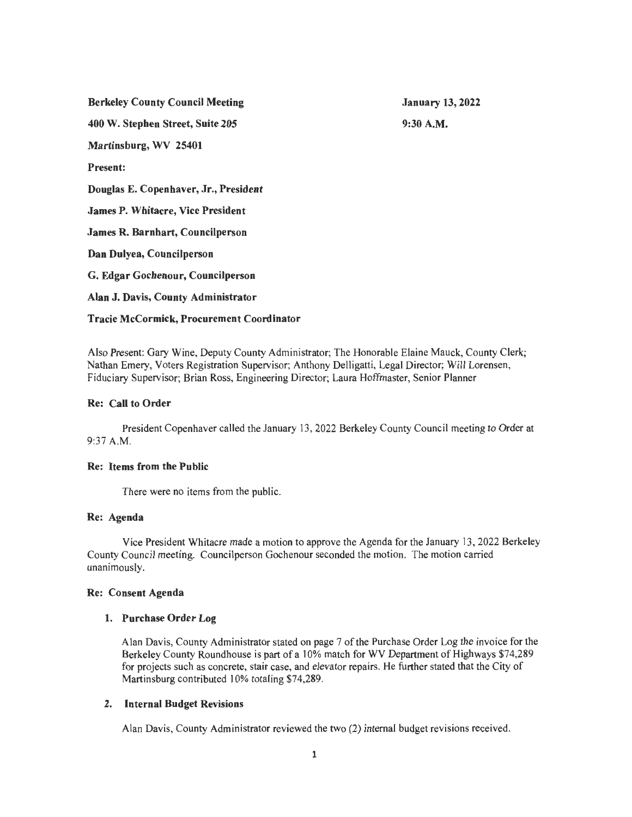Berkeley County Council Meeting 400 W. Stephen Street, Suite 205 Martinsburg, WV 25401 Present: Douglas E. Copenhaver, Jr., President James P. Whitacre, Vice President James R. Barnhart, Councilperson Dan Dulyea, Councilperson G. Edgar Gochenour, Councilperson Alan J. Davis, County Administrator January 13, 2022 9:30A.M.

Tracie McCormick, Procurement Coordinator

Also Present: Gary Wine, Deputy County Administrator; The Honorable Elaine Mauck, County Clerk; Nathan Emery, Voters Registration Supervisor; Anthony Delligatti, Legal Director; Will Lorensen, Fiduciary Supervisor; Brian Ross, Engineering Director; Laura Hoffmaster, Senior Planner

### Re: Call to Order

President Copenhaver called the January 13, 2022 Berkeley County Council meeting to Order at 9:37 A.M.

#### Re: Items from the Public

There were no items from the public.

### Re: Agenda

Vice President Whitacre made a motion to approve the Agenda for the January 13, 2022 Berkeley County Council meeting. Councilperson Gochenour seconded the motion. The motion carried unanimously.

## Re: Consent Agenda

## 1. Purchase Order Log

Alan Davis, County Administrator stated on page 7 of the Purchase Order Log the invoice for the Berkeley County Roundhouse is part of a 10% match for WV Department of Highways \$74,289 for projects such as concrete, stair case, and elevator repairs. He further stated that the City of Martinsburg contributed 10% totaling \$74,289.

## 2. Internal Budget Revisions

Alan Davis, County Administrator reviewed the two (2) internal budget revisions received.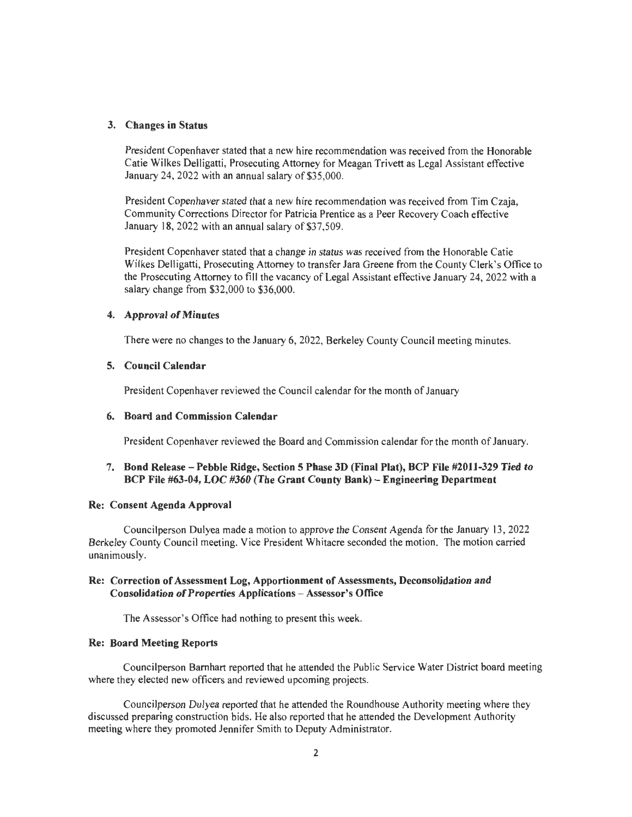### 3. Changes in Status

President Copenhaver stated that a new hire recommendation was received from the Honorable Catie Wilkes Delligatti, Prosecuting Attorney for Meagan Trivett as Legal Assistant effective January 24, 2022 with an annual salary of \$35,000.

President Copenhaver stated that a new hire recommendation was received from Tim Czaja, Community Corrections Director for Patricia Prentice as a Peer Recovery Coach effective January 18, 2022 with an annual salary of  $$37,509$ .

President Copenhaver stated that a change in status was received from the Honorable Catie Wilkes Delligatti, Prosecuting Attorney to transfer Jara Greene from the County Clerk's Office to the Prosecuting Attorney to till the vacancy of Legal Assistant effective January 24, 2022 with a salary change from \$32,000 to \$36,000.

### 4. Approval of Minutes

There were no changes to the January 6, 2022, Berkeley County Council meeting minutes.

#### 5. Council Calendar

President Copenhaver reviewed the Council calendar for the month of January

### 6. Board and Commission Calendar

President Copenhaver reviewed the Board and Commission calendar for the month of January.

## 7. Bond Release - Pebble Ridge, Section 5 Phase 3D (Final Plat), BCP File #2011-329 Tied to BCP File #63-04, LOC #360 (The Grant County Bank)- Engineering Department

#### Re: Consent Agenda Approval

Councilperson Dulyea made a motion to approve the Consent Agenda for the January 13, 2022 Berkeley County Council meeting. Vice President Whitacre seconded the motion. The motion carried unanimously.

## Re: Correction of Assessment Log, Apportionment of Assessments, Deconsolidation and Consolidation of Properties Applications - Assessor's Office

The Assessor's Office had nothing to present this week.

#### Re: Board Meeting Reports

Councilperson Barnhart reported that he attended the Public Service Water District board meeting where they elected new officers and reviewed upcoming projects.

Councilperson Dulyea reported that he attended the Roundhouse Authority meeting where they discussed preparing construction bids. He also reported that he attended the Development Authority meeting where they promoted Jennifer Smith to Deputy Administrator.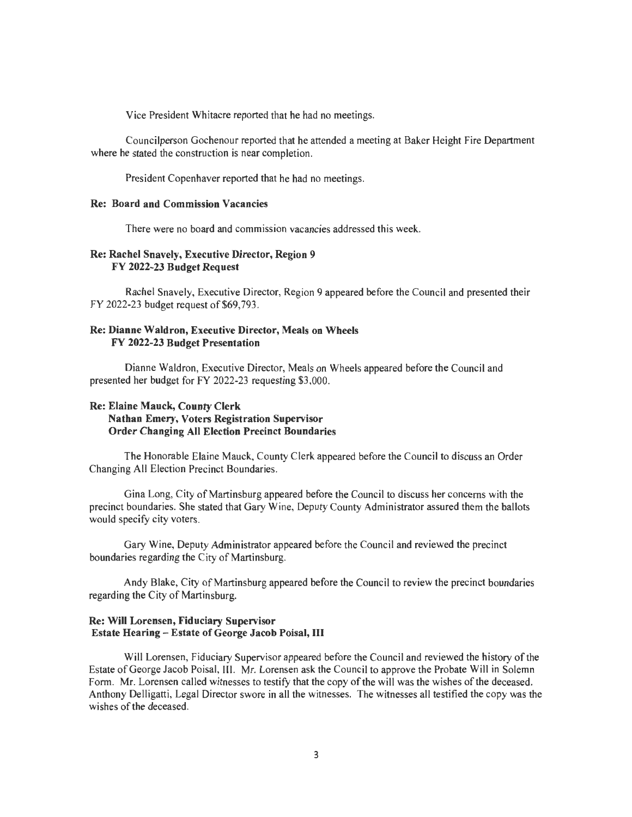Vice President Whitacre reported that he had no meetings.

Councilperson Gochenour reported that he attended a meeting at Baker Height Fire Department where he stated the construction is near completion.

President Copenhaver reported that he had no meetings.

### Re: Board and Commission Vacancies

There were no board and commission vacancies addressed this week.

### Re: Rachel Snavely, Executive Director, Region 9 FY 2022-23 Budget Request

Rachel Snavely, Executive Director, Region 9 appeared before the Council and presented their FY 2022-23 budget request of \$69,793 .

## Re: Dianne Waldron, Executive Director, Meals on Wheels FY 2022-23 Budget Presentation

Dianne Waldron, Executive Director, Meals on Wheels appeared before the Council and presented her budget for FY 2022-23 requesting \$3,000.

## Re: Elaine Mauck, County Clerk Nathan Emery, Voters Registration Supervisor Order Changing All Election Precinct Boundaries

The Honorable Elaine Mauck, County Clerk appeared before the Council to discuss an Order Changing All Election Precinct Boundaries.

Gina Long, City of Martinsburg appeared before the Council to discuss her concerns with the precinct boundaries. She stated that Gary Wine, Deputy County Administrator assured them the ballots would specify city voters.

Gary Wine, Deputy Administrator appeared before the Council and reviewed the precinct boundaries regarding the City of Martinsburg.

Andy Blake, City of Martinsburg appeared before the Council to review the precinct boundaries regarding the City of Martinsburg.

## Re: Will Lorensen, Fiduciary Supervisor Estate Hearing - Estate of George Jacob Poisal, III

Will Lorensen, Fiduciary Supervisor appeared before the Council and reviewed the history of the Estate of George Jacob Poisal, Ill. Mr. Lorensen ask the Council to approve the Probate Will in Solemn Form. Mr. Lorensen called witnesses to testify that the copy of the will was the wishes of the deceased. Anthony Delligatti, Legal Director swore in all the witnesses. The witnesses all testified the copy was the wishes of the deceased.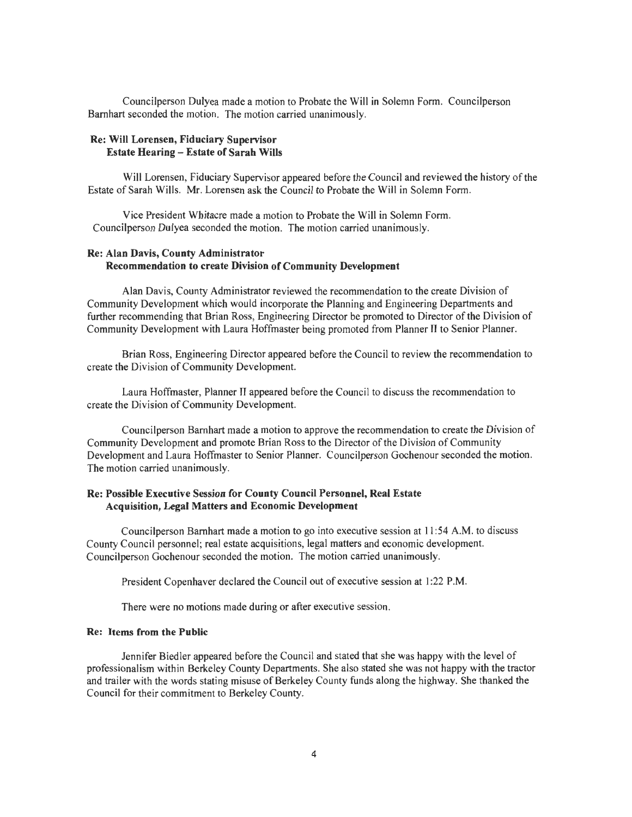Councilperson Dulyea made a motion to Probate the Will in Solemn Form. Councilperson Barnhart seconded the motion. The motion carried unanimously.

## Re: Will Lorensen, Fiduciary Supervisor Estate Hearing - Estate of Sarah Wills

Will Lorensen, Fiduciary Supervisor appeared before the Council and reviewed the history of the Estate of Sarah Wills. Mr. Lorensen ask the Council to Probate the Will in Solemn Form.

Vice President Whitacre made a motion to Probate the Will in Solemn Form. Councilperson Dulyea seconded the motion. The motion carried unanimously.

### Re: Alan Davis, County Administrator Recommendation to create Division of Community Development

Alan Davis, County Administrator reviewed the recommendation to the create Division of Community Development which would incorporate the Planning and Engineering Departments and further recommending that Brian Ross, Engineering Director be promoted to Director of the Division of Community Development with Laura Hoffmaster being promoted from Planner II to Senior Planner.

Brian Ross, Engineering Director appeared before the Council to review the recommendation to create the Division of Community Development.

Laura Hoffmaster, Planner II appeared before the Council to discuss the recommendation to create the Division of Community Development.

Councilperson Barnhart made a motion to approve the recommendation to create the Division of Community Development and promote Brian Ross to the Director of the Division of Community Development and Laura Hoffmaster to Senior Planner. Councilperson Gochenour seconded the motion. The motion carried unanimously.

## Re: Possible Executive Session for County Council Personnel, Real Estate Acquisition, Legal Matters and Economic Development

Councilperson Barnhart made a motion to go into executive session at  $11:54$  A.M. to discuss County Council personnel; real estate acquisitions, legal matters and economic development. Councilperson Gochenour seconded the motion. The motion carried unanimously.

President Copenhaver declared the Council out of executive session at 1:22 P.M.

There were no motions made during or after executive session.

#### Re: Items from the Public

Jennifer Biedler appeared before the Council and stated that she was happy with the level of professionalism within Berkeley County Departments. She also stated she was not happy with the tractor and trailer with the words stating misuse of Berkeley County funds along the highway. She thanked the Council for their commitment to Berkeley County.